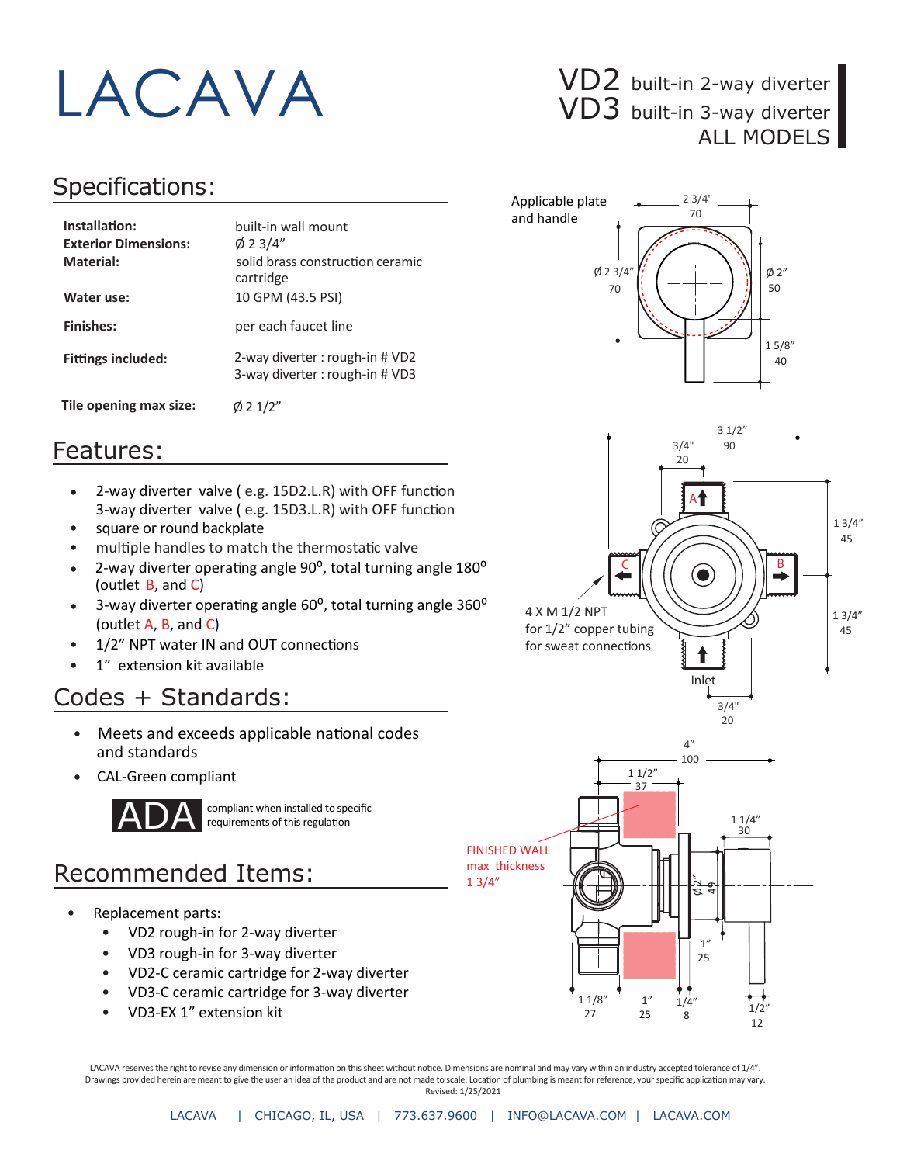

#### Specifications:

| Installation:<br><b>Exterior Dimensions:</b><br>Material:<br>Water use: | built-in wall mount<br>$\emptyset$ 2 3/4"<br>solid brass construction ceramic<br>cartridge<br>10 GPM (43.5 PSI) |
|-------------------------------------------------------------------------|-----------------------------------------------------------------------------------------------------------------|
| <b>Finishes:</b>                                                        | per each faucet line                                                                                            |
| <b>Fittings included:</b>                                               | 2-way diverter: rough-in # VD2<br>3-way diverter: rough-in # VD3                                                |
| Tile opening max size:                                                  | $\emptyset$ 2 1/2"                                                                                              |

# VD3 built-in 3-way diverter ALL MODELS







#### Features:

- 3-way diverter valve (e.g. 15D3.L.R) with OFF function 2-way diverter valve (e.g. 15D2.L.R) with OFF function
- square or round backplate
- multiple handles to match the thermostatic valve
- 2-way diverter operating angle 90°, total turning angle 180° (outlet B, and C)
- 3-way diverter operating angle 60°, total turning angle 360° (outlet A, B, and C) •
- 1/2" NPT water IN and OUT connections
- 1" extension kit available

### Codes + Standards:

- Meets and exceeds applicable national codes and standards
- CAL-Green compliant



compliant when installed to specific requirements of this regulation

## Recommended Items:

- Replacement parts:
	- VD2 rough-in for 2-way diverter
	- VD3 rough-in for 3-way diverter
	- VD2-C ceramic cartridge for 2-way diverter
	- VD3-C ceramic cartridge for 3-way diverter
	- VD3-EX 1" extension kit

LACAVA reserves the right to revise any dimension or information on this sheet without notice. Dimensions are nominal and may vary within an industry accepted tolerance of 1/4". Drawings provided herein are meant to give the user an idea of the product and are not made to scale. Location of plumbing is meant for reference, your specific application may vary. Revised: 1/25/2021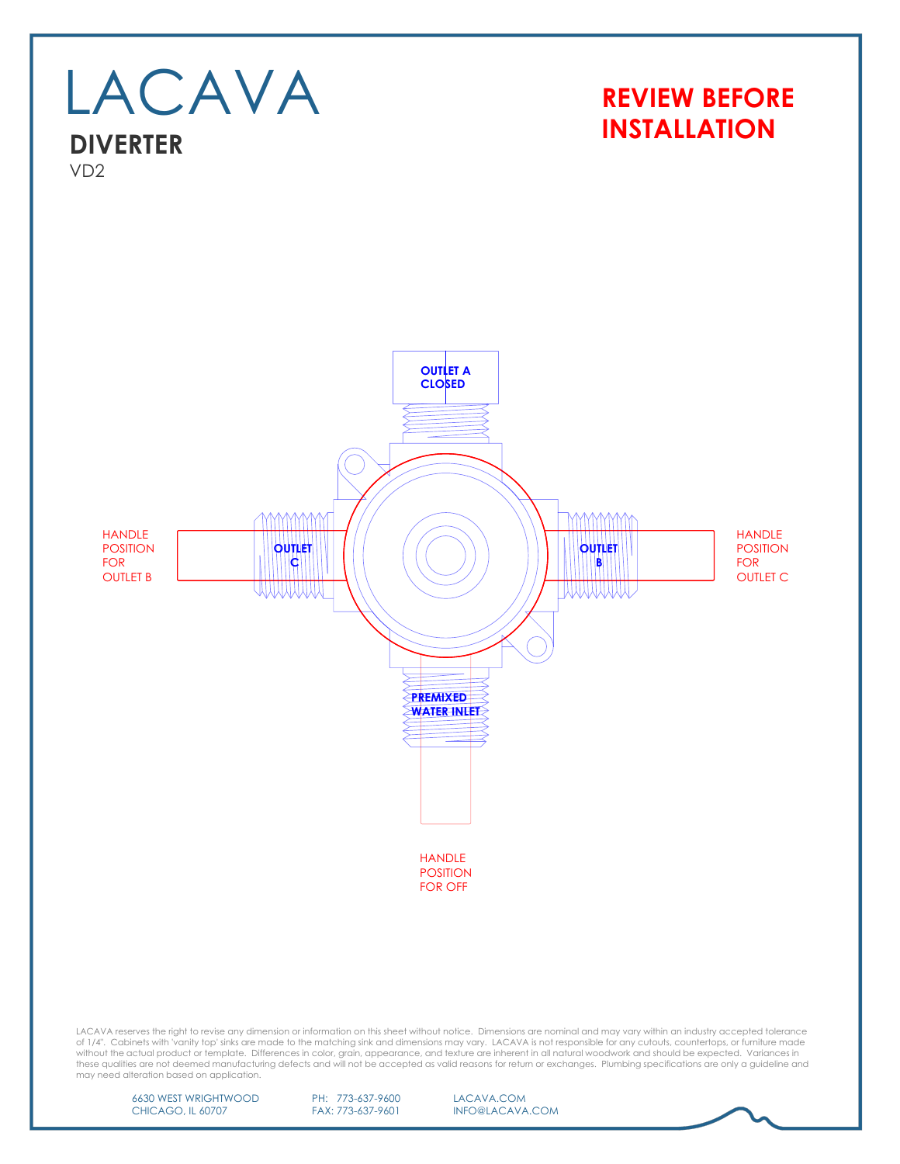